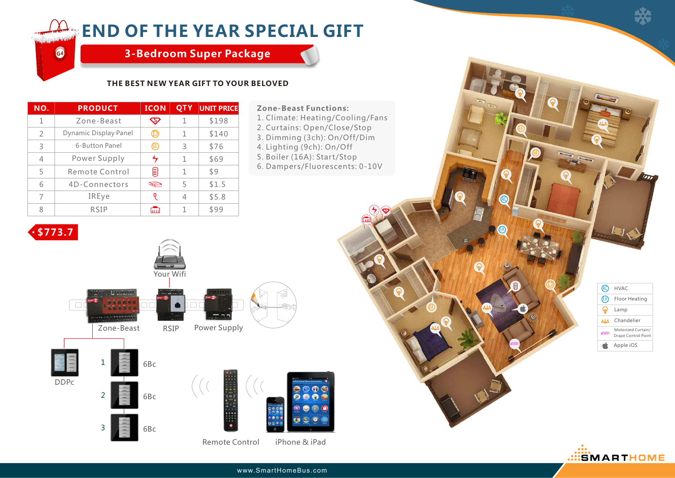## **END OF THE YEAR SPECIAL GIFT**

**3-Bedroom Super Package**

### **THE BEST NEW YEAR GIFT TO YOUR BELOVED**

| NO.            | <b>PRODUCT</b>        | <b>ICON</b>    | <b>QTY</b> | <b>UNIT PRICE</b> | <b>Zone-Beast Functions:</b>                                 |
|----------------|-----------------------|----------------|------------|-------------------|--------------------------------------------------------------|
|                | Zone-Beast            | $\bm{\nabla}$  |            | \$198             | 1. Climate: Heating/Cooling/Fans                             |
| $\mathcal{L}$  | Dynamic Display Panel | $^\copyright$  | 1          | \$140             | 2. Curtains: Open/Close/Stop<br>3. Dimming (3ch): On/Off/Dim |
| 3              | 6-Button Panel        | $^{\circledR}$ | 3          | \$76              | 4. Lighting (9ch): On/Off                                    |
| $\overline{4}$ | Power Supply          |                |            | \$69              | 5. Boiler (16A): Start/Stop                                  |
| 5              | Remote Control        | ⋒              |            | \$9               | 6. Dampers/Fluorescents: 0-10V                               |
| 6              | 4D-Connectors         | $\bigcirc$     | 5          | \$1.5             |                                                              |
| 7              | IREye                 | ρ              | 4          | \$5.8             |                                                              |
| 8              | <b>RSIP</b>           | <b>mm</b>      |            | \$99              |                                                              |

#### **Zone-Beast Functions:**

- 4. Lighting (9ch): On/Off
- 5. Boiler (16A): Start/Stop
- 6. Dampers/Fluorescents: 0-10V



**G4**



Remote Control iPhone & iPad



D

8Y

የፍ

የፍ

F.H

6B



www.SmartHomeBus.com